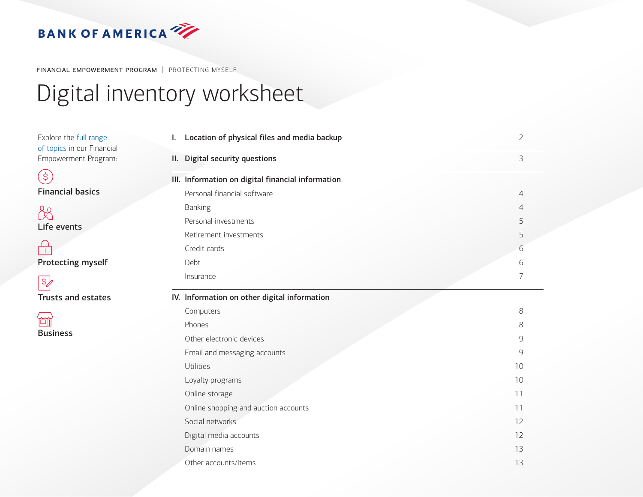<span id="page-0-0"></span>

FINANCIAL EMPOWERMENT PROGRAM | PROTECTING MYSELF

# Digital inventory worksheet

| Explore the full range<br>of topics in our Financial | Location of physical files and media backup<br>I. | $\overline{2}$  |
|------------------------------------------------------|---------------------------------------------------|-----------------|
| Empowerment Program:                                 | II. Digital security questions                    | 3               |
| $\left( \frac{1}{2} \right)$                         | III. Information on digital financial information |                 |
| <b>Financial basics</b>                              | Personal financial software                       | $\overline{4}$  |
| B                                                    | <b>Banking</b>                                    | 4               |
| Life events                                          | Personal investments                              | 5               |
|                                                      | Retirement investments                            | 5               |
|                                                      | Credit cards                                      | 6               |
| <b>Protecting myself</b>                             | Debt                                              | 6               |
| $ \$_{Z}^{\prime}$                                   | Insurance                                         | 7               |
| <b>Trusts and estates</b>                            | IV. Information on other digital information      |                 |
|                                                      | Computers                                         | 8               |
| 简                                                    | Phones                                            | 8               |
| <b>Business</b>                                      | Other electronic devices                          | 9               |
|                                                      | Email and messaging accounts                      | 9               |
|                                                      | Utilities                                         | 10 <sup>°</sup> |
|                                                      | Loyalty programs                                  | 10              |
|                                                      | Online storage                                    | 11              |
|                                                      | Online shopping and auction accounts              | 11              |
|                                                      | Social networks                                   | 12              |
|                                                      | Digital media accounts                            | 12              |
|                                                      | Domain names                                      | 13              |
|                                                      | Other accounts/items                              | 13              |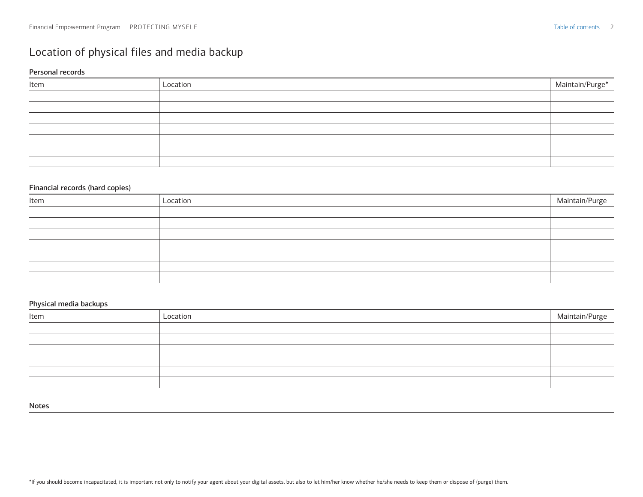### <span id="page-1-0"></span>Location of physical files and media backup

#### Personal records

| Item | Location | Maintain/Purge* |
|------|----------|-----------------|
|      |          |                 |
|      |          |                 |
|      |          |                 |
|      |          |                 |
|      |          |                 |
|      |          |                 |
|      |          |                 |

#### Financial records (hard copies)

| Item | Location | Maintain/Purge |
|------|----------|----------------|
|      |          |                |
|      |          |                |
|      |          |                |
|      |          |                |
|      |          |                |
|      |          |                |
|      |          |                |

#### Physical media backups

<span id="page-1-1"></span>

| Item | Location | Maintain/Purge |
|------|----------|----------------|
|      |          |                |
|      |          |                |
|      |          |                |
|      |          |                |
|      |          |                |
|      |          |                |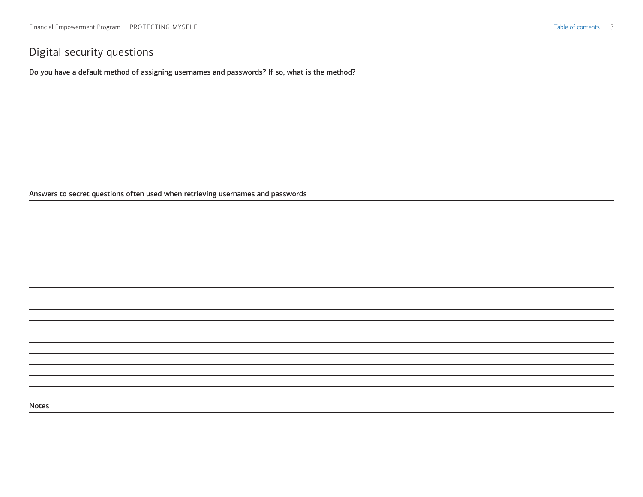### <span id="page-2-0"></span>Digital security questions

Do you have a default method of assigning usernames and passwords? If so, what is the method?

#### Answers to secret questions often used when retrieving usernames and passwords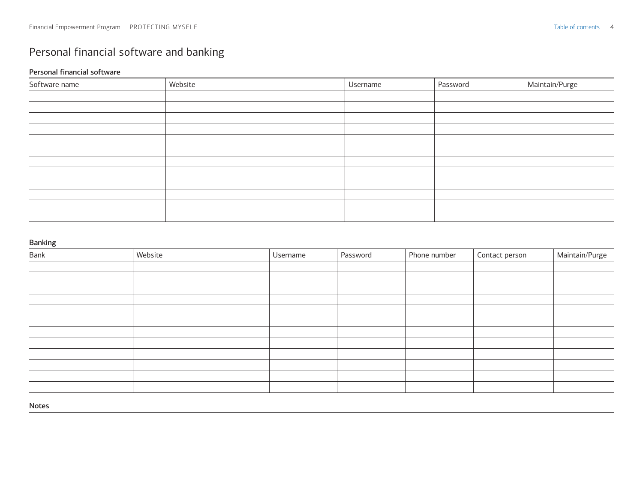## <span id="page-3-0"></span>Personal financial software and banking

#### Personal financial software

| Software name | Website | Username | Password | Maintain/Purge |
|---------------|---------|----------|----------|----------------|
|               |         |          |          |                |
|               |         |          |          |                |
|               |         |          |          |                |
|               |         |          |          |                |
|               |         |          |          |                |
|               |         |          |          |                |
|               |         |          |          |                |
|               |         |          |          |                |
|               |         |          |          |                |
|               |         |          |          |                |
|               |         |          |          |                |
|               |         |          |          |                |

#### Banking

| Bank | Website | Username | Password | Phone number | Contact person | Maintain/Purge |
|------|---------|----------|----------|--------------|----------------|----------------|
|      |         |          |          |              |                |                |
|      |         |          |          |              |                |                |
|      |         |          |          |              |                |                |
|      |         |          |          |              |                |                |
|      |         |          |          |              |                |                |
|      |         |          |          |              |                |                |
|      |         |          |          |              |                |                |
|      |         |          |          |              |                |                |
|      |         |          |          |              |                |                |
|      |         |          |          |              |                |                |
|      |         |          |          |              |                |                |
|      |         |          |          |              |                |                |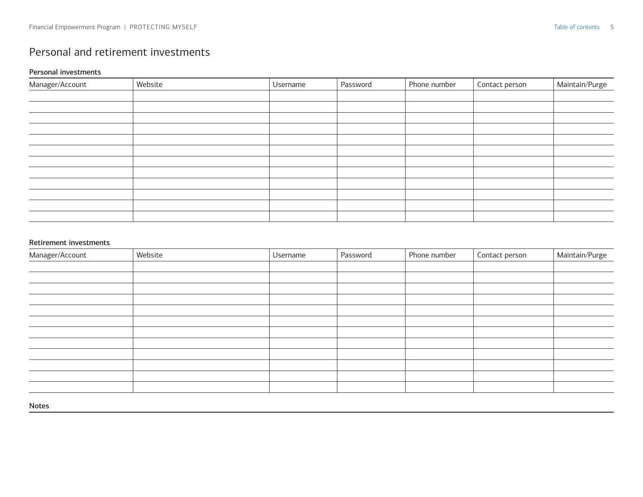### <span id="page-4-0"></span>Personal and retirement investments

#### Personal investments

| Manager/Account | Website | Username | Password | Phone number | Contact person | Maintain/Purge |
|-----------------|---------|----------|----------|--------------|----------------|----------------|
|                 |         |          |          |              |                |                |
|                 |         |          |          |              |                |                |
|                 |         |          |          |              |                |                |
|                 |         |          |          |              |                |                |
|                 |         |          |          |              |                |                |
|                 |         |          |          |              |                |                |
|                 |         |          |          |              |                |                |
|                 |         |          |          |              |                |                |
|                 |         |          |          |              |                |                |
|                 |         |          |          |              |                |                |
|                 |         |          |          |              |                |                |
|                 |         |          |          |              |                |                |

#### Retirement investments

| Manager/Account | Website | Username | Password | Phone number | Contact person | Maintain/Purge |
|-----------------|---------|----------|----------|--------------|----------------|----------------|
|                 |         |          |          |              |                |                |
|                 |         |          |          |              |                |                |
|                 |         |          |          |              |                |                |
|                 |         |          |          |              |                |                |
|                 |         |          |          |              |                |                |
|                 |         |          |          |              |                |                |
|                 |         |          |          |              |                |                |
|                 |         |          |          |              |                |                |
|                 |         |          |          |              |                |                |
|                 |         |          |          |              |                |                |
|                 |         |          |          |              |                |                |
|                 |         |          |          |              |                |                |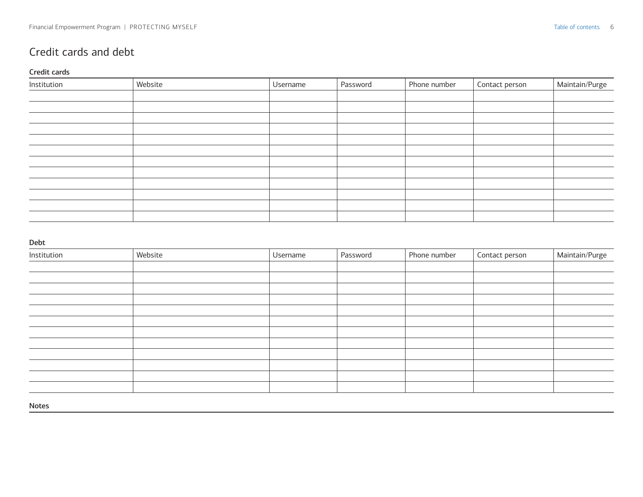### <span id="page-5-0"></span>Credit cards and debt

#### Credit cards

| Institution | Website | Username | Password | Phone number | Contact person | Maintain/Purge |
|-------------|---------|----------|----------|--------------|----------------|----------------|
|             |         |          |          |              |                |                |
|             |         |          |          |              |                |                |
|             |         |          |          |              |                |                |
|             |         |          |          |              |                |                |
|             |         |          |          |              |                |                |
|             |         |          |          |              |                |                |
|             |         |          |          |              |                |                |
|             |         |          |          |              |                |                |
|             |         |          |          |              |                |                |
|             |         |          |          |              |                |                |
|             |         |          |          |              |                |                |
|             |         |          |          |              |                |                |

#### Debt

| Institution | Website | <b>Username</b> | Password | Phone number | Contact person | Maintain/Purge |
|-------------|---------|-----------------|----------|--------------|----------------|----------------|
|             |         |                 |          |              |                |                |
|             |         |                 |          |              |                |                |
|             |         |                 |          |              |                |                |
|             |         |                 |          |              |                |                |
|             |         |                 |          |              |                |                |
|             |         |                 |          |              |                |                |
|             |         |                 |          |              |                |                |
|             |         |                 |          |              |                |                |
|             |         |                 |          |              |                |                |
|             |         |                 |          |              |                |                |
|             |         |                 |          |              |                |                |
|             |         |                 |          |              |                |                |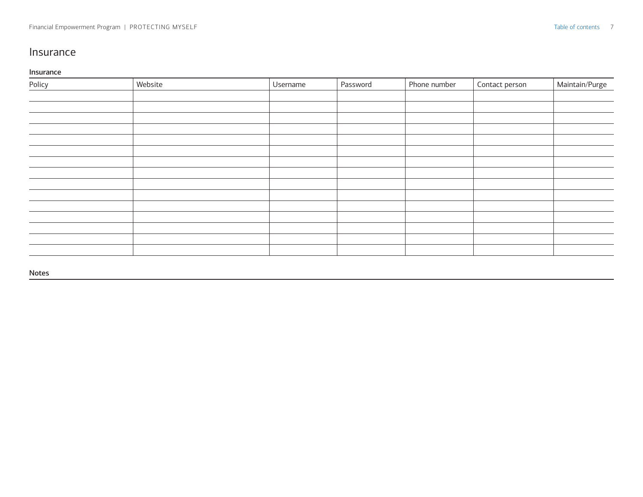### <span id="page-6-0"></span>Insurance

#### Insurance

| Policy | Website | Username | Password | Phone number | Contact person | Maintain/Purge |
|--------|---------|----------|----------|--------------|----------------|----------------|
|        |         |          |          |              |                |                |
|        |         |          |          |              |                |                |
|        |         |          |          |              |                |                |
|        |         |          |          |              |                |                |
|        |         |          |          |              |                |                |
|        |         |          |          |              |                |                |
|        |         |          |          |              |                |                |
|        |         |          |          |              |                |                |
|        |         |          |          |              |                |                |
|        |         |          |          |              |                |                |
|        |         |          |          |              |                |                |
|        |         |          |          |              |                |                |
|        |         |          |          |              |                |                |
|        |         |          |          |              |                |                |
|        |         |          |          |              |                |                |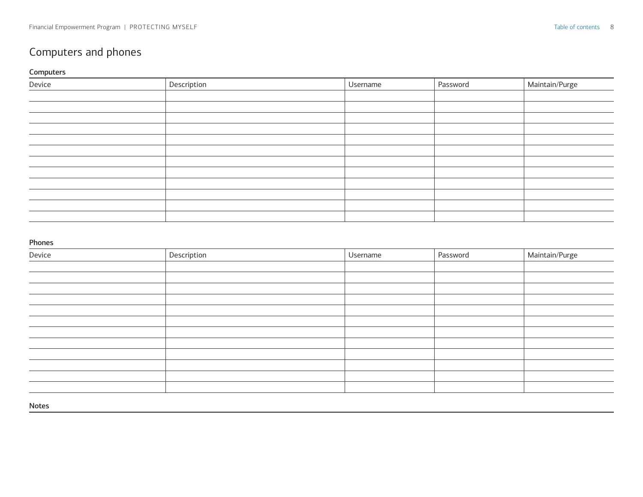### <span id="page-7-0"></span>Computers and phones

#### Computers

| Device | Description | Username | Password | Maintain/Purge |
|--------|-------------|----------|----------|----------------|
|        |             |          |          |                |
|        |             |          |          |                |
|        |             |          |          |                |
|        |             |          |          |                |
|        |             |          |          |                |
|        |             |          |          |                |
|        |             |          |          |                |
|        |             |          |          |                |
|        |             |          |          |                |
|        |             |          |          |                |
|        |             |          |          |                |
|        |             |          |          |                |

#### Phones

| Device | Description | Username | Password | Maintain/Purge |
|--------|-------------|----------|----------|----------------|
|        |             |          |          |                |
|        |             |          |          |                |
|        |             |          |          |                |
|        |             |          |          |                |
|        |             |          |          |                |
|        |             |          |          |                |
|        |             |          |          |                |
|        |             |          |          |                |
|        |             |          |          |                |
|        |             |          |          |                |
|        |             |          |          |                |
|        |             |          |          |                |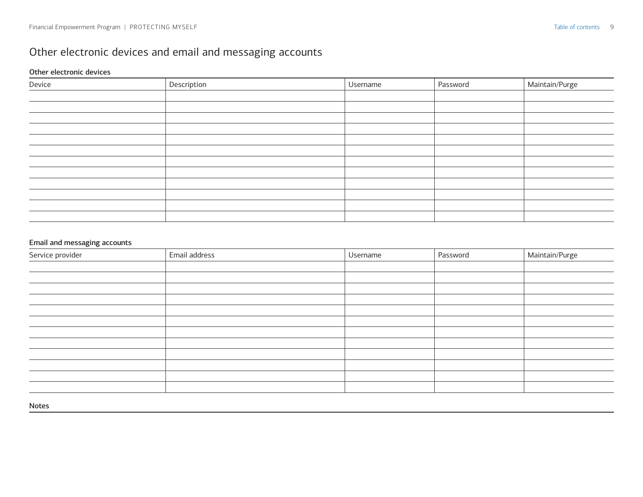### <span id="page-8-0"></span>Other electronic devices and email and messaging accounts

#### Other electronic devices

| Device | Description | Username | Password | Maintain/Purge |
|--------|-------------|----------|----------|----------------|
|        |             |          |          |                |
|        |             |          |          |                |
|        |             |          |          |                |
|        |             |          |          |                |
|        |             |          |          |                |
|        |             |          |          |                |
|        |             |          |          |                |
|        |             |          |          |                |
|        |             |          |          |                |
|        |             |          |          |                |
|        |             |          |          |                |
|        |             |          |          |                |

#### Email and messaging accounts

| Service provider | Email address | Username | Password | Maintain/Purge |
|------------------|---------------|----------|----------|----------------|
|                  |               |          |          |                |
|                  |               |          |          |                |
|                  |               |          |          |                |
|                  |               |          |          |                |
|                  |               |          |          |                |
|                  |               |          |          |                |
|                  |               |          |          |                |
|                  |               |          |          |                |
|                  |               |          |          |                |
|                  |               |          |          |                |
|                  |               |          |          |                |
|                  |               |          |          |                |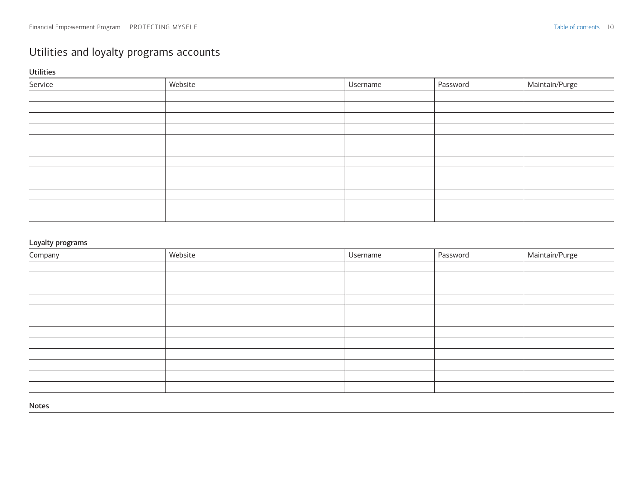### <span id="page-9-0"></span>Utilities and loyalty programs accounts

Utilities

| Service | Website | Username | Password | Maintain/Purge |
|---------|---------|----------|----------|----------------|
|         |         |          |          |                |
|         |         |          |          |                |
|         |         |          |          |                |
|         |         |          |          |                |
|         |         |          |          |                |
|         |         |          |          |                |
|         |         |          |          |                |
|         |         |          |          |                |
|         |         |          |          |                |
|         |         |          |          |                |
|         |         |          |          |                |
|         |         |          |          |                |

#### Loyalty programs

| Website | Username | Password | Maintain/Purge |
|---------|----------|----------|----------------|
|         |          |          |                |
|         |          |          |                |
|         |          |          |                |
|         |          |          |                |
|         |          |          |                |
|         |          |          |                |
|         |          |          |                |
|         |          |          |                |
|         |          |          |                |
|         |          |          |                |
|         |          |          |                |
|         |          |          |                |
|         |          |          |                |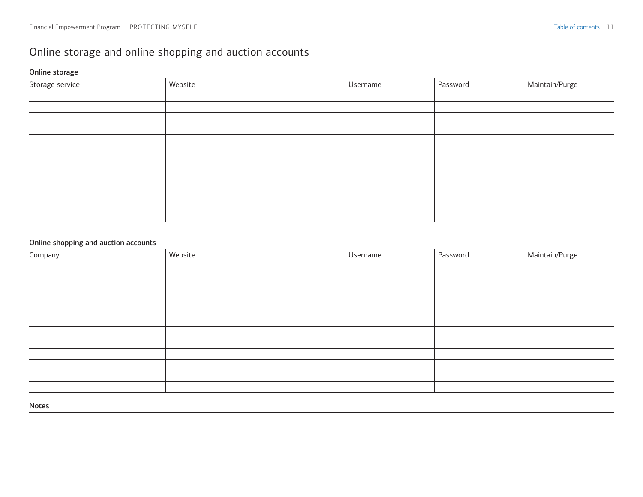### <span id="page-10-0"></span>Online storage and online shopping and auction accounts

### Online storage

| Storage service | Website | Username | Password | Maintain/Purge |
|-----------------|---------|----------|----------|----------------|
|                 |         |          |          |                |
|                 |         |          |          |                |
|                 |         |          |          |                |
|                 |         |          |          |                |
|                 |         |          |          |                |
|                 |         |          |          |                |
|                 |         |          |          |                |
|                 |         |          |          |                |
|                 |         |          |          |                |
|                 |         |          |          |                |
|                 |         |          |          |                |
|                 |         |          |          |                |

#### Online shopping and auction accounts

| Company | Website | Username | Password | Maintain/Purge |
|---------|---------|----------|----------|----------------|
|         |         |          |          |                |
|         |         |          |          |                |
|         |         |          |          |                |
|         |         |          |          |                |
|         |         |          |          |                |
|         |         |          |          |                |
|         |         |          |          |                |
|         |         |          |          |                |
|         |         |          |          |                |
|         |         |          |          |                |
|         |         |          |          |                |
|         |         |          |          |                |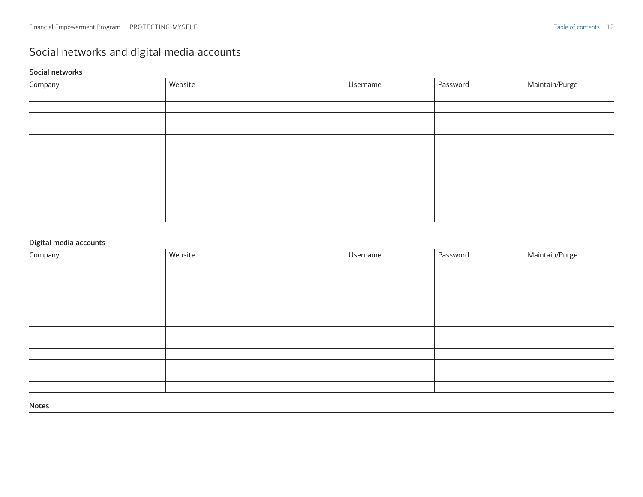### <span id="page-11-0"></span>Social networks and digital media accounts

#### Social networks

| Company | Website | Username | Password | Maintain/Purge |
|---------|---------|----------|----------|----------------|
|         |         |          |          |                |
|         |         |          |          |                |
|         |         |          |          |                |
|         |         |          |          |                |
|         |         |          |          |                |
|         |         |          |          |                |
|         |         |          |          |                |
|         |         |          |          |                |
|         |         |          |          |                |
|         |         |          |          |                |
|         |         |          |          |                |
|         |         |          |          |                |

#### Digital media accounts

| Company | Website | Username | Password | Maintain/Purge |
|---------|---------|----------|----------|----------------|
|         |         |          |          |                |
|         |         |          |          |                |
|         |         |          |          |                |
|         |         |          |          |                |
|         |         |          |          |                |
|         |         |          |          |                |
|         |         |          |          |                |
|         |         |          |          |                |
|         |         |          |          |                |
|         |         |          |          |                |
|         |         |          |          |                |
|         |         |          |          |                |